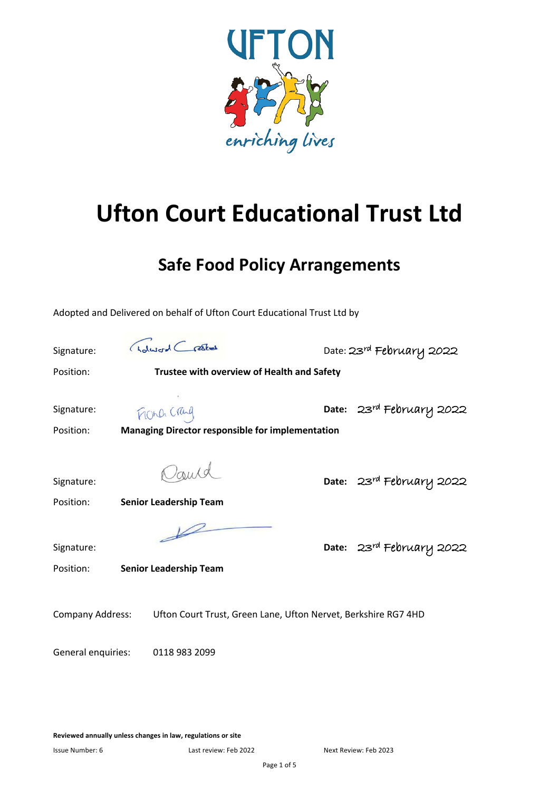

# **Ufton Court Educational Trust Ltd**

## **Safe Food Policy Arrangements**

Adopted and Delivered on behalf of Ufton Court Educational Trust Ltd by

Signature: Golucral Crastes Date: 23rd February 2022 Position: **Trustee with overview of Health and Safety** Signature: **Date:** 23rd February 2022 Position: **Managing Director responsible for implementation** Signature: **Date:** 23rd February 2022 Position: **Senior Leadership Team**  $\overline{\mathscr{L}}$ Signature: **Date:** 23rd February 2022 Position: **Senior Leadership Team** Company Address: Ufton Court Trust, Green Lane, Ufton Nervet, Berkshire RG7 4HD General enquiries: 0118 983 2099

**Reviewed annually unless changes in law, regulations or site**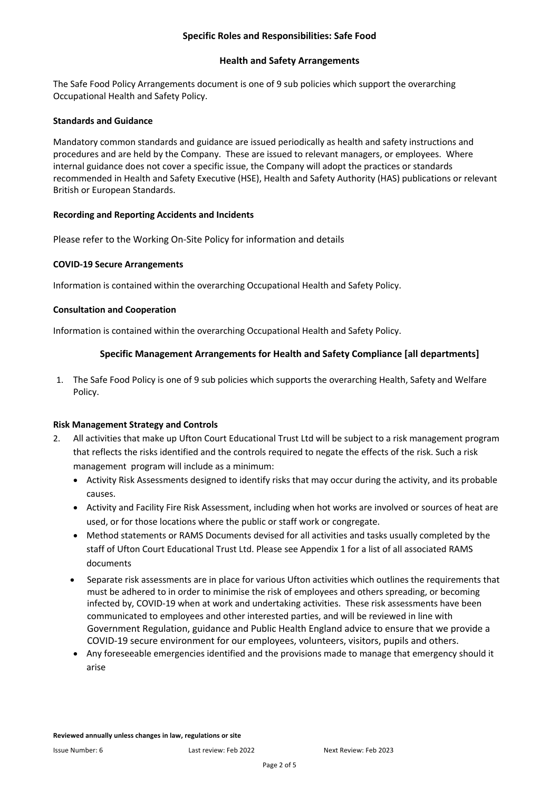#### **Specific Roles and Responsibilities: Safe Food**

#### **Health and Safety Arrangements**

The Safe Food Policy Arrangements document is one of 9 sub policies which support the overarching Occupational Health and Safety Policy.

#### **Standards and Guidance**

Mandatory common standards and guidance are issued periodically as health and safety instructions and procedures and are held by the Company. These are issued to relevant managers, or employees. Where internal guidance does not cover a specific issue, the Company will adopt the practices or standards recommended in Health and Safety Executive (HSE), Health and Safety Authority (HAS) publications or relevant British or European Standards.

#### **Recording and Reporting Accidents and Incidents**

Please refer to the Working On-Site Policy for information and details

#### **COVID-19 Secure Arrangements**

Information is contained within the overarching Occupational Health and Safety Policy.

#### **Consultation and Cooperation**

Information is contained within the overarching Occupational Health and Safety Policy.

#### **Specific Management Arrangements for Health and Safety Compliance [all departments]**

1. The Safe Food Policy is one of 9 sub policies which supports the overarching Health, Safety and Welfare Policy.

#### **Risk Management Strategy and Controls**

- 2. All activities that make up Ufton Court Educational Trust Ltd will be subject to a risk management program that reflects the risks identified and the controls required to negate the effects of the risk. Such a risk management program will include as a minimum:
	- Activity Risk Assessments designed to identify risks that may occur during the activity, and its probable causes.
	- Activity and Facility Fire Risk Assessment, including when hot works are involved or sources of heat are used, or for those locations where the public or staff work or congregate.
	- Method statements or RAMS Documents devised for all activities and tasks usually completed by the staff of Ufton Court Educational Trust Ltd. Please see Appendix 1 for a list of all associated RAMS documents
	- Separate risk assessments are in place for various Ufton activities which outlines the requirements that must be adhered to in order to minimise the risk of employees and others spreading, or becoming infected by, COVID-19 when at work and undertaking activities. These risk assessments have been communicated to employees and other interested parties, and will be reviewed in line with Government Regulation, guidance and Public Health England advice to ensure that we provide a COVID-19 secure environment for our employees, volunteers, visitors, pupils and others.
	- Any foreseeable emergencies identified and the provisions made to manage that emergency should it arise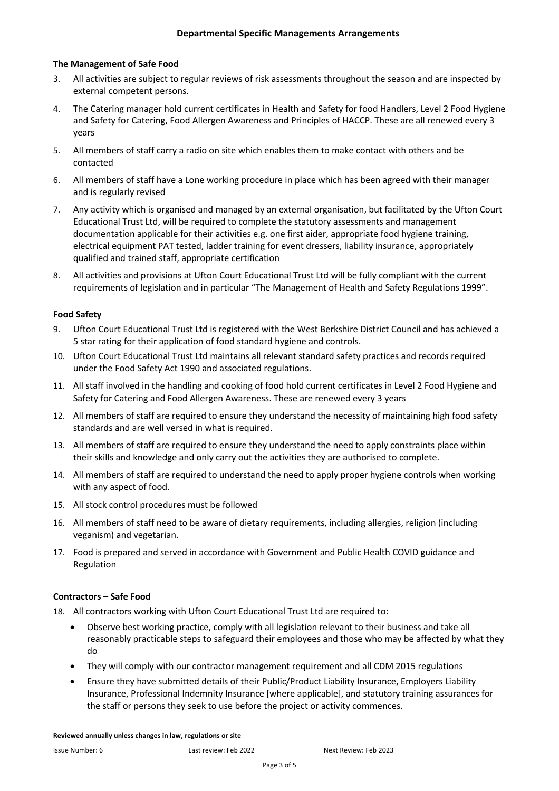#### **The Management of Safe Food**

- 3. All activities are subject to regular reviews of risk assessments throughout the season and are inspected by external competent persons.
- 4. The Catering manager hold current certificates in Health and Safety for food Handlers, Level 2 Food Hygiene and Safety for Catering, Food Allergen Awareness and Principles of HACCP. These are all renewed every 3 years
- 5. All members of staff carry a radio on site which enables them to make contact with others and be contacted
- 6. All members of staff have a Lone working procedure in place which has been agreed with their manager and is regularly revised
- 7. Any activity which is organised and managed by an external organisation, but facilitated by the Ufton Court Educational Trust Ltd, will be required to complete the statutory assessments and management documentation applicable for their activities e.g. one first aider, appropriate food hygiene training, electrical equipment PAT tested, ladder training for event dressers, liability insurance, appropriately qualified and trained staff, appropriate certification
- 8. All activities and provisions at Ufton Court Educational Trust Ltd will be fully compliant with the current requirements of legislation and in particular "The Management of Health and Safety Regulations 1999".

#### **Food Safety**

- 9. Ufton Court Educational Trust Ltd is registered with the West Berkshire District Council and has achieved a 5 star rating for their application of food standard hygiene and controls.
- 10. Ufton Court Educational Trust Ltd maintains all relevant standard safety practices and records required under the Food Safety Act 1990 and associated regulations.
- 11. All staff involved in the handling and cooking of food hold current certificates in Level 2 Food Hygiene and Safety for Catering and Food Allergen Awareness. These are renewed every 3 years
- 12. All members of staff are required to ensure they understand the necessity of maintaining high food safety standards and are well versed in what is required.
- 13. All members of staff are required to ensure they understand the need to apply constraints place within their skills and knowledge and only carry out the activities they are authorised to complete.
- 14. All members of staff are required to understand the need to apply proper hygiene controls when working with any aspect of food.
- 15. All stock control procedures must be followed
- 16. All members of staff need to be aware of dietary requirements, including allergies, religion (including veganism) and vegetarian.
- 17. Food is prepared and served in accordance with Government and Public Health COVID guidance and Regulation

#### **Contractors – Safe Food**

- 18. All contractors working with Ufton Court Educational Trust Ltd are required to:
	- Observe best working practice, comply with all legislation relevant to their business and take all reasonably practicable steps to safeguard their employees and those who may be affected by what they do
	- They will comply with our contractor management requirement and all CDM 2015 regulations
	- Ensure they have submitted details of their Public/Product Liability Insurance, Employers Liability Insurance, Professional Indemnity Insurance [where applicable], and statutory training assurances for the staff or persons they seek to use before the project or activity commences.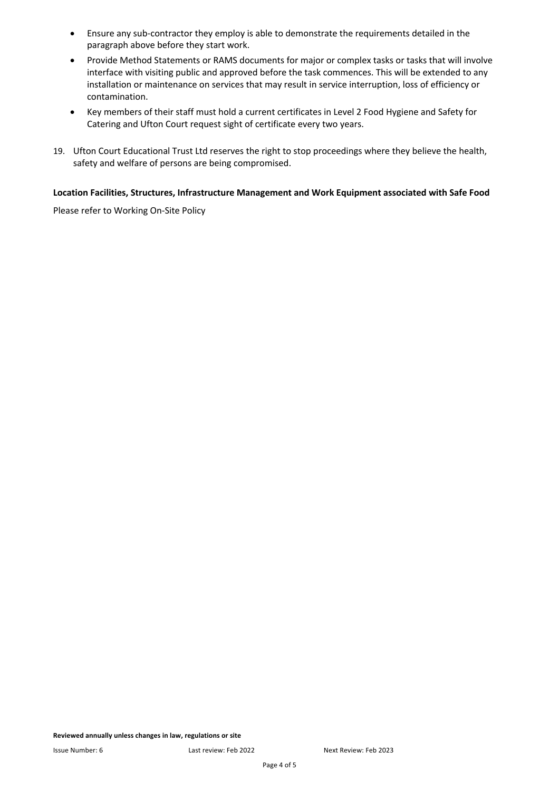- Ensure any sub-contractor they employ is able to demonstrate the requirements detailed in the paragraph above before they start work.
- Provide Method Statements or RAMS documents for major or complex tasks or tasks that will involve interface with visiting public and approved before the task commences. This will be extended to any installation or maintenance on services that may result in service interruption, loss of efficiency or contamination.
- Key members of their staff must hold a current certificates in Level 2 Food Hygiene and Safety for Catering and Ufton Court request sight of certificate every two years.
- 19. Ufton Court Educational Trust Ltd reserves the right to stop proceedings where they believe the health, safety and welfare of persons are being compromised.

#### **Location Facilities, Structures, Infrastructure Management and Work Equipment associated with Safe Food**

Please refer to Working On-Site Policy